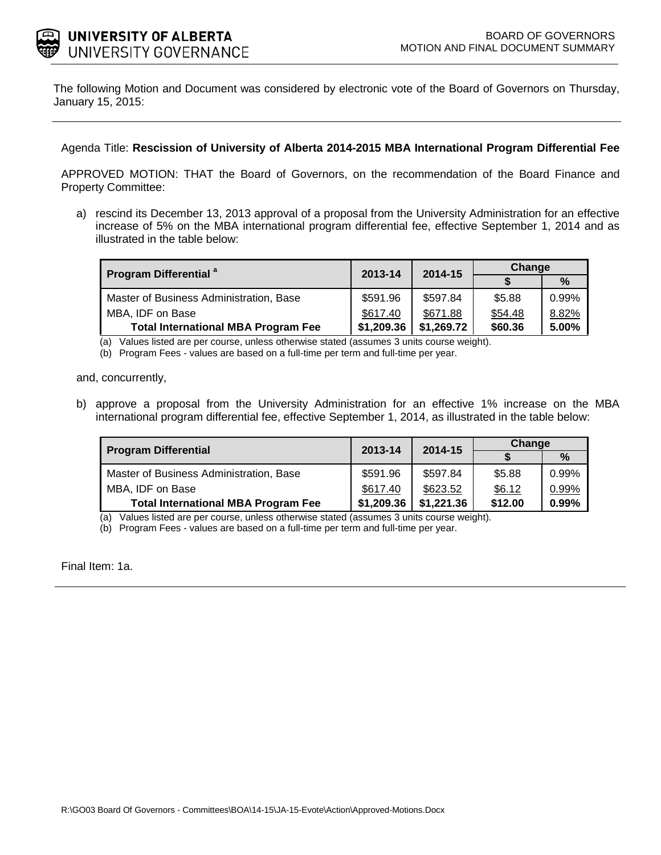

The following Motion and Document was considered by electronic vote of the Board of Governors on Thursday, January 15, 2015:

## Agenda Title: **Rescission of University of Alberta 2014-2015 MBA International Program Differential Fee**

APPROVED MOTION: THAT the Board of Governors, on the recommendation of the Board Finance and Property Committee:

a) rescind its December 13, 2013 approval of a proposal from the University Administration for an effective increase of 5% on the MBA international program differential fee, effective September 1, 2014 and as illustrated in the table below:

| <b>Program Differential <sup>a</sup></b>   | 2013-14    | 2014-15    | Change  |               |
|--------------------------------------------|------------|------------|---------|---------------|
|                                            |            |            |         | $\frac{0}{0}$ |
| Master of Business Administration, Base    | \$591.96   | \$597.84   | \$5.88  | $0.99\%$      |
| MBA, IDF on Base                           | \$617.40   | \$671.88   | \$54.48 | 8.82%         |
| <b>Total International MBA Program Fee</b> | \$1,209.36 | \$1,269.72 | \$60.36 | 5.00%         |

(a) Values listed are per course, unless otherwise stated (assumes 3 units course weight).

(b) Program Fees - values are based on a full-time per term and full-time per year.

and, concurrently,

l.

b) approve a proposal from the University Administration for an effective 1% increase on the MBA international program differential fee, effective September 1, 2014, as illustrated in the table below:

| <b>Program Differential</b>                | 2013-14    | 2014-15    | Change  |       |
|--------------------------------------------|------------|------------|---------|-------|
|                                            |            |            |         | %     |
| Master of Business Administration, Base    | \$591.96   | \$597.84   | \$5.88  | 0.99% |
| MBA, IDF on Base                           | \$617.40   | \$623.52   | \$6.12  | 0.99% |
| <b>Total International MBA Program Fee</b> | \$1,209.36 | \$1,221.36 | \$12.00 | 0.99% |

(a) Values listed are per course, unless otherwise stated (assumes 3 units course weight).

(b) Program Fees - values are based on a full-time per term and full-time per year.

Final Item: [1a.](#page-1-0)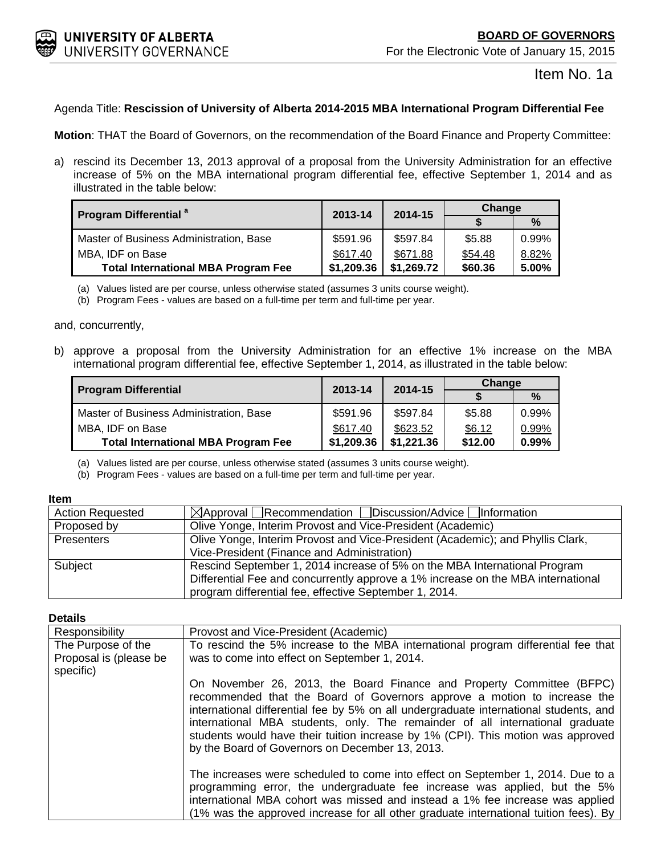<span id="page-1-0"></span>

Item No. 1a

# Agenda Title: **Rescission of University of Alberta 2014-2015 MBA International Program Differential Fee**

**Motion**: THAT the Board of Governors, on the recommendation of the Board Finance and Property Committee:

a) rescind its December 13, 2013 approval of a proposal from the University Administration for an effective increase of 5% on the MBA international program differential fee, effective September 1, 2014 and as illustrated in the table below:

| <b>Program Differential</b> <sup>a</sup>   | 2013-14    | 2014-15    | Change  |       |
|--------------------------------------------|------------|------------|---------|-------|
|                                            |            |            |         | $\%$  |
| Master of Business Administration, Base    | \$591.96   | \$597.84   | \$5.88  | 0.99% |
| MBA, IDF on Base                           | \$617.40   | \$671.88   | \$54.48 | 8.82% |
| <b>Total International MBA Program Fee</b> | \$1,209.36 | \$1,269.72 | \$60.36 | 5.00% |

(a) Values listed are per course, unless otherwise stated (assumes 3 units course weight).

(b) Program Fees - values are based on a full-time per term and full-time per year.

and, concurrently,

b) approve a proposal from the University Administration for an effective 1% increase on the MBA international program differential fee, effective September 1, 2014, as illustrated in the table below:

| <b>Program Differential</b>                | 2013-14    | 2014-15    | Change  |       |
|--------------------------------------------|------------|------------|---------|-------|
|                                            |            |            |         | $\%$  |
| Master of Business Administration, Base    | \$591.96   | \$597.84   | \$5.88  | 0.99% |
| MBA, IDF on Base                           | \$617.40   | \$623.52   | \$6.12  | 0.99% |
| <b>Total International MBA Program Fee</b> | \$1,209.36 | \$1,221.36 | \$12.00 | 0.99% |

(a) Values listed are per course, unless otherwise stated (assumes 3 units course weight).

(b) Program Fees - values are based on a full-time per term and full-time per year.

#### **Item**

| <b>Action Requested</b> | $\boxtimes$ Approval Recommendation Discussion/Advice Information                                                                                             |
|-------------------------|---------------------------------------------------------------------------------------------------------------------------------------------------------------|
| Proposed by             | Olive Yonge, Interim Provost and Vice-President (Academic)                                                                                                    |
| Presenters              | Olive Yonge, Interim Provost and Vice-President (Academic); and Phyllis Clark,                                                                                |
|                         | Vice-President (Finance and Administration)                                                                                                                   |
| Subject                 | Rescind September 1, 2014 increase of 5% on the MBA International Program<br>Differential Fee and concurrently approve a 1% increase on the MBA international |
|                         | program differential fee, effective September 1, 2014.                                                                                                        |

#### **Details**

| Responsibility         | Provost and Vice-President (Academic)                                                                                                                                                                                                                                                                                                                                                                                                                              |
|------------------------|--------------------------------------------------------------------------------------------------------------------------------------------------------------------------------------------------------------------------------------------------------------------------------------------------------------------------------------------------------------------------------------------------------------------------------------------------------------------|
| The Purpose of the     | To rescind the 5% increase to the MBA international program differential fee that                                                                                                                                                                                                                                                                                                                                                                                  |
| Proposal is (please be | was to come into effect on September 1, 2014.                                                                                                                                                                                                                                                                                                                                                                                                                      |
| specific)              |                                                                                                                                                                                                                                                                                                                                                                                                                                                                    |
|                        | On November 26, 2013, the Board Finance and Property Committee (BFPC)<br>recommended that the Board of Governors approve a motion to increase the<br>international differential fee by 5% on all undergraduate international students, and<br>international MBA students, only. The remainder of all international graduate<br>students would have their tuition increase by 1% (CPI). This motion was approved<br>by the Board of Governors on December 13, 2013. |
|                        | The increases were scheduled to come into effect on September 1, 2014. Due to a<br>programming error, the undergraduate fee increase was applied, but the 5%<br>international MBA cohort was missed and instead a 1% fee increase was applied<br>(1% was the approved increase for all other graduate international tuition fees). By                                                                                                                              |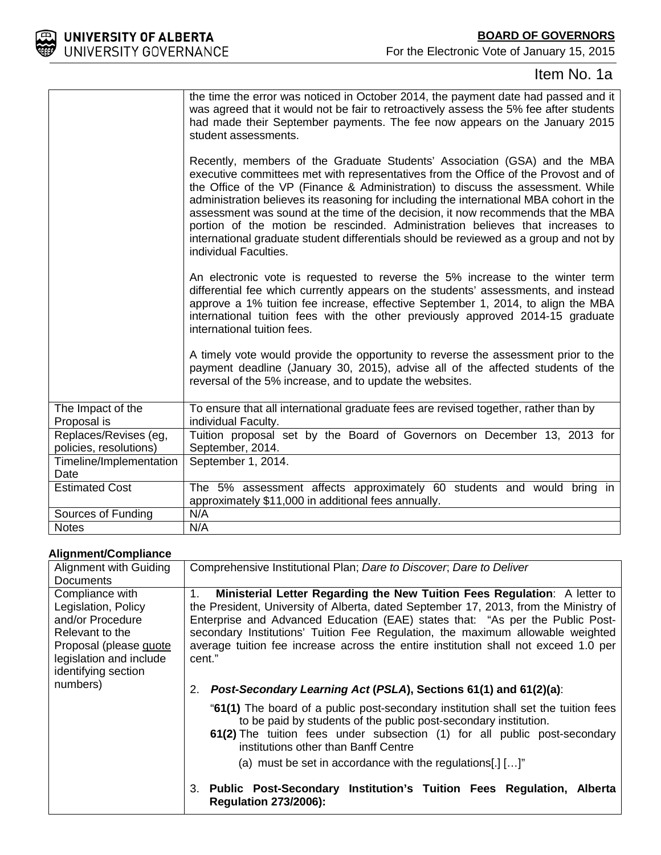

# Item No. 1a

|                                  | the time the error was noticed in October 2014, the payment date had passed and it<br>was agreed that it would not be fair to retroactively assess the 5% fee after students<br>had made their September payments. The fee now appears on the January 2015<br>student assessments.<br>Recently, members of the Graduate Students' Association (GSA) and the MBA                                                                                                                                                                                           |
|----------------------------------|-----------------------------------------------------------------------------------------------------------------------------------------------------------------------------------------------------------------------------------------------------------------------------------------------------------------------------------------------------------------------------------------------------------------------------------------------------------------------------------------------------------------------------------------------------------|
|                                  | executive committees met with representatives from the Office of the Provost and of<br>the Office of the VP (Finance & Administration) to discuss the assessment. While<br>administration believes its reasoning for including the international MBA cohort in the<br>assessment was sound at the time of the decision, it now recommends that the MBA<br>portion of the motion be rescinded. Administration believes that increases to<br>international graduate student differentials should be reviewed as a group and not by<br>individual Faculties. |
|                                  | An electronic vote is requested to reverse the 5% increase to the winter term<br>differential fee which currently appears on the students' assessments, and instead<br>approve a 1% tuition fee increase, effective September 1, 2014, to align the MBA<br>international tuition fees with the other previously approved 2014-15 graduate<br>international tuition fees.                                                                                                                                                                                  |
|                                  | A timely vote would provide the opportunity to reverse the assessment prior to the<br>payment deadline (January 30, 2015), advise all of the affected students of the<br>reversal of the 5% increase, and to update the websites.                                                                                                                                                                                                                                                                                                                         |
| The Impact of the<br>Proposal is | To ensure that all international graduate fees are revised together, rather than by<br>individual Faculty.                                                                                                                                                                                                                                                                                                                                                                                                                                                |
| Replaces/Revises (eg,            | Tuition proposal set by the Board of Governors on December 13, 2013 for                                                                                                                                                                                                                                                                                                                                                                                                                                                                                   |
| policies, resolutions)           | September, 2014.                                                                                                                                                                                                                                                                                                                                                                                                                                                                                                                                          |
| Timeline/Implementation          | September 1, 2014.                                                                                                                                                                                                                                                                                                                                                                                                                                                                                                                                        |
| Date                             |                                                                                                                                                                                                                                                                                                                                                                                                                                                                                                                                                           |
| <b>Estimated Cost</b>            | The 5% assessment affects approximately 60 students and would bring in<br>approximately \$11,000 in additional fees annually.                                                                                                                                                                                                                                                                                                                                                                                                                             |
| Sources of Funding               | N/A                                                                                                                                                                                                                                                                                                                                                                                                                                                                                                                                                       |
| <b>Notes</b>                     | N/A                                                                                                                                                                                                                                                                                                                                                                                                                                                                                                                                                       |

# **Alignment/Compliance**

| Alignment/Compilance                                                                                                                                                  |                                                                                                                                                                                                                                                                                                                                                                                                                                             |
|-----------------------------------------------------------------------------------------------------------------------------------------------------------------------|---------------------------------------------------------------------------------------------------------------------------------------------------------------------------------------------------------------------------------------------------------------------------------------------------------------------------------------------------------------------------------------------------------------------------------------------|
| Alignment with Guiding<br><b>Documents</b>                                                                                                                            | Comprehensive Institutional Plan; Dare to Discover, Dare to Deliver                                                                                                                                                                                                                                                                                                                                                                         |
| Compliance with<br>Legislation, Policy<br>and/or Procedure<br>Relevant to the<br>Proposal (please quote<br>legislation and include<br>identifying section<br>numbers) | Ministerial Letter Regarding the New Tuition Fees Regulation: A letter to<br>1.<br>the President, University of Alberta, dated September 17, 2013, from the Ministry of<br>Enterprise and Advanced Education (EAE) states that: "As per the Public Post-<br>secondary Institutions' Tuition Fee Regulation, the maximum allowable weighted<br>average tuition fee increase across the entire institution shall not exceed 1.0 per<br>cent." |
|                                                                                                                                                                       | Post-Secondary Learning Act (PSLA), Sections 61(1) and 61(2)(a):<br>2.                                                                                                                                                                                                                                                                                                                                                                      |
|                                                                                                                                                                       | "61(1) The board of a public post-secondary institution shall set the tuition fees<br>to be paid by students of the public post-secondary institution.<br>61(2) The tuition fees under subsection (1) for all public post-secondary<br>institutions other than Banff Centre                                                                                                                                                                 |
|                                                                                                                                                                       | (a) must be set in accordance with the regulations[.] $[]$                                                                                                                                                                                                                                                                                                                                                                                  |
|                                                                                                                                                                       | 3. Public Post-Secondary Institution's Tuition Fees Regulation, Alberta<br><b>Regulation 273/2006):</b>                                                                                                                                                                                                                                                                                                                                     |